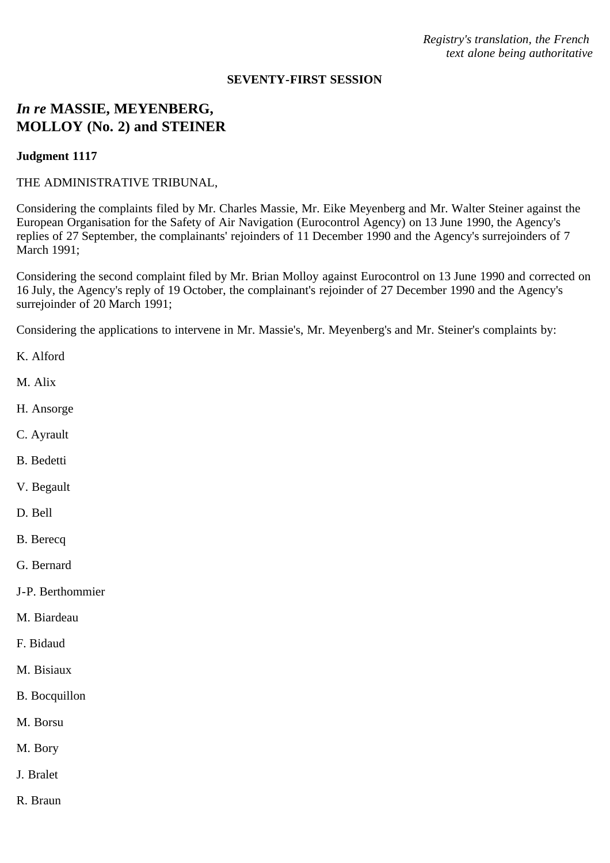*Registry's translation, the French text alone being authoritative*

#### **SEVENTY-FIRST SESSION**

# *In re* **MASSIE, MEYENBERG, MOLLOY (No. 2) and STEINER**

### **Judgment 1117**

## THE ADMINISTRATIVE TRIBUNAL,

Considering the complaints filed by Mr. Charles Massie, Mr. Eike Meyenberg and Mr. Walter Steiner against the European Organisation for the Safety of Air Navigation (Eurocontrol Agency) on 13 June 1990, the Agency's replies of 27 September, the complainants' rejoinders of 11 December 1990 and the Agency's surrejoinders of 7 March 1991;

Considering the second complaint filed by Mr. Brian Molloy against Eurocontrol on 13 June 1990 and corrected on 16 July, the Agency's reply of 19 October, the complainant's rejoinder of 27 December 1990 and the Agency's surrejoinder of 20 March 1991;

Considering the applications to intervene in Mr. Massie's, Mr. Meyenberg's and Mr. Steiner's complaints by:

- K. Alford
- M. Alix
- H. Ansorge
- C. Ayrault
- B. Bedetti
- V. Begault
- D. Bell
- B. Berecq
- G. Bernard
- J-P. Berthommier
- M. Biardeau
- F. Bidaud
- M. Bisiaux
- B. Bocquillon
- M. Borsu
- M. Bory
- J. Bralet
- R. Braun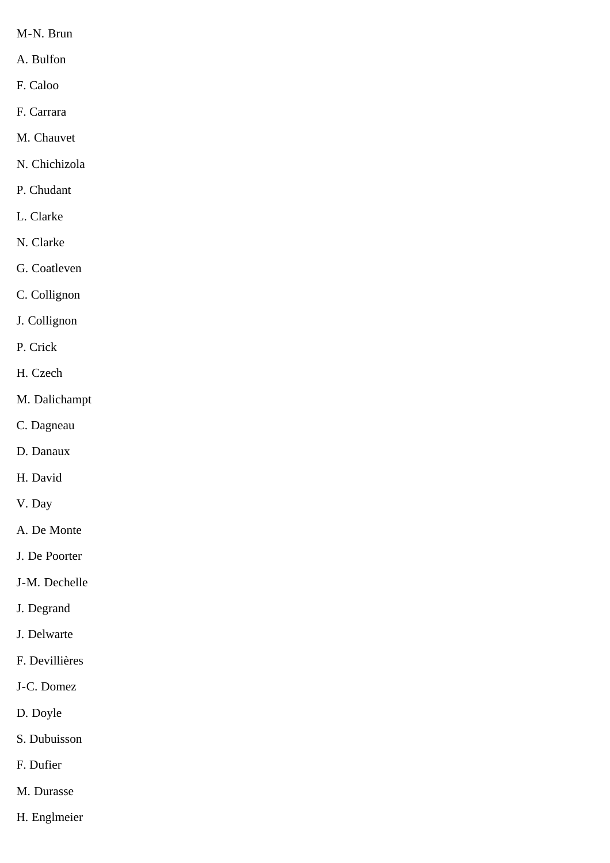- M-N. Brun
- A. Bulfon
- F. Caloo
- F. Carrara
- M. Chauvet
- N. Chichizola
- P. Chudant
- L. Clarke
- N. Clarke
- G. Coatleven
- C. Collignon
- J. Collignon
- P. Crick
- H. Czech
- M. Dalichampt
- C. Dagneau
- D. Danaux
- H. David
- V. Day
- A. De Monte
- J. De Poorter
- J-M. Dechelle
- J. Degrand
- J. Delwarte
- F. Devillières
- J-C. Domez
- D. Doyle
- S. Dubuisson
- F. Dufier
- M. Durasse
- H. Englmeier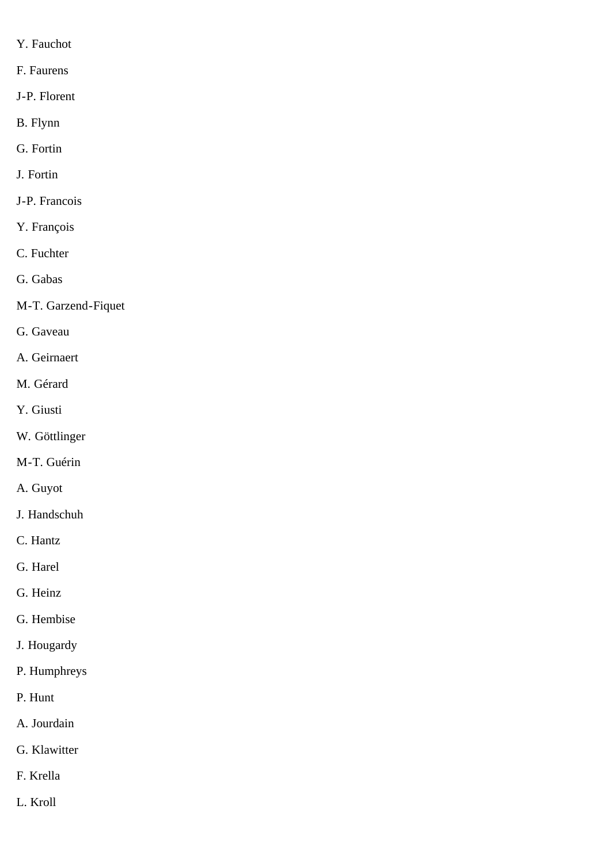- Y. Fauchot
- F. Faurens
- J-P. Florent
- B. Flynn
- G. Fortin
- J. Fortin
- J-P. Francois
- Y. François
- C. Fuchter
- G. Gabas
- M-T. Garzend-Fiquet
- G. Gaveau
- A. Geirnaert
- M. Gérard
- Y. Giusti
- W. Göttlinger
- M-T. Guérin
- A. Guyot
- J. Handschuh
- C. Hantz
- G. Harel
- G. Heinz
- G. Hembise
- J. Hougardy
- P. Humphreys
- P. Hunt
- A. Jourdain
- G. Klawitter
- F. Krella
- L. Kroll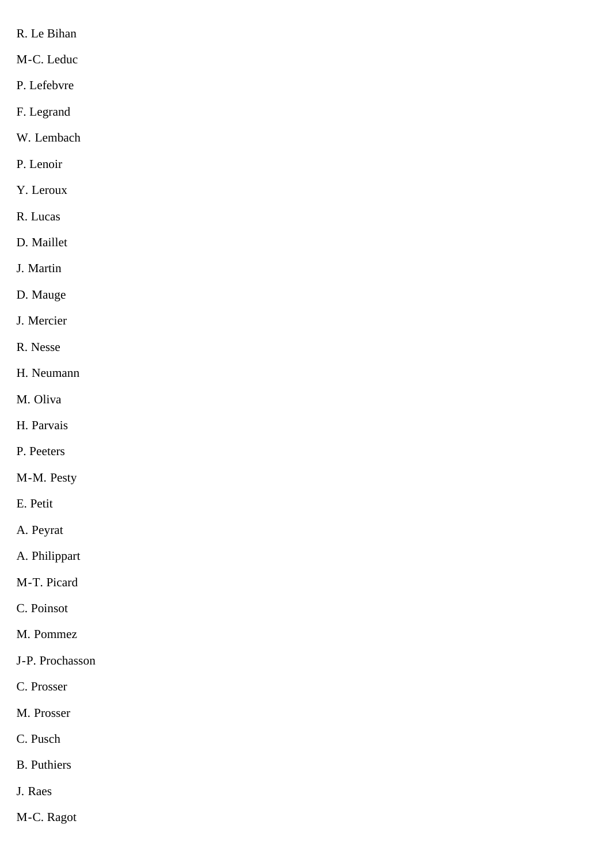- R. Le Bihan
- M-C. Leduc
- P. Lefebvre
- F. Legrand
- W. Lembach
- P. Lenoir
- Y. Leroux
- R. Lucas
- D. Maillet
- J. Martin
- D. Mauge
- J. Mercier
- R. Nesse
- H. Neumann
- M. Oliva
- H. Parvais
- P. Peeters
- M-M. Pesty
- E. Petit
- A. Peyrat
- A. Philippart
- M-T. Picard
- C. Poinsot
- M. Pommez
- J-P. Prochasson
- C. Prosser
- M. Prosser
- C. Pusch
- B. Puthiers
- J. Raes
- M-C. Ragot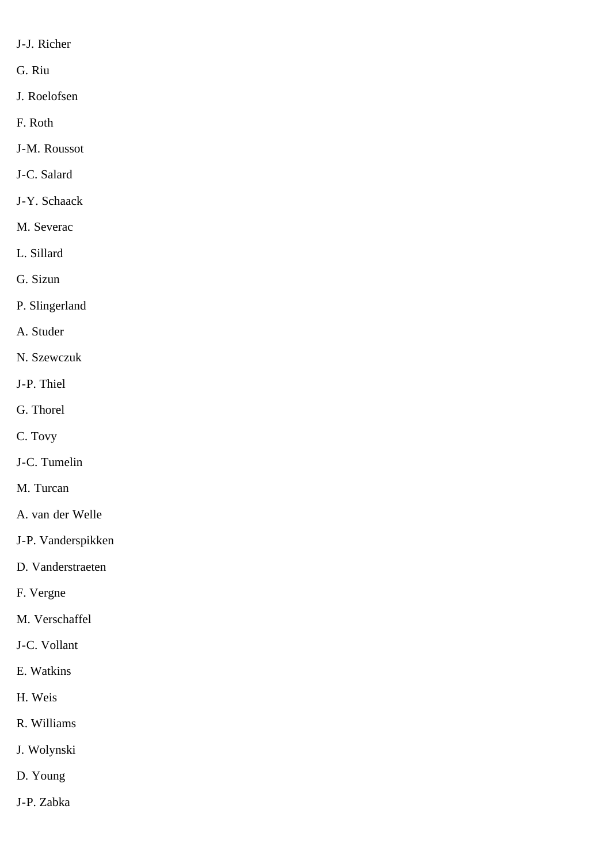- J-J. Richer
- G. Riu
- J. Roelofsen
- F. Roth
- J-M. Roussot
- J-C. Salard
- J-Y. Schaack
- M. Severac
- L. Sillard
- G. Sizun
- P. Slingerland
- A. Studer
- N. Szewczuk
- J-P. Thiel
- G. Thorel
- C. Tovy
- J-C. Tumelin
- M. Turcan
- A. van der Welle
- J-P. Vanderspikken
- D. Vanderstraeten
- F. Vergne
- M. Verschaffel
- J-C. Vollant
- E. Watkins
- H. Weis
- R. Williams
- J. Wolynski
- D. Young
- J-P. Zabka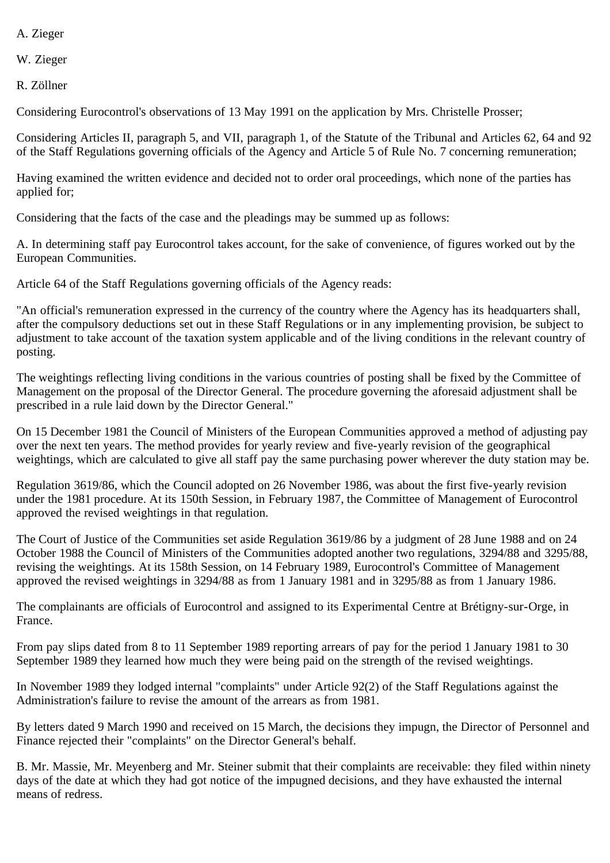A. Zieger

W. Zieger

R. Zöllner

Considering Eurocontrol's observations of 13 May 1991 on the application by Mrs. Christelle Prosser;

Considering Articles II, paragraph 5, and VII, paragraph 1, of the Statute of the Tribunal and Articles 62, 64 and 92 of the Staff Regulations governing officials of the Agency and Article 5 of Rule No. 7 concerning remuneration;

Having examined the written evidence and decided not to order oral proceedings, which none of the parties has applied for;

Considering that the facts of the case and the pleadings may be summed up as follows:

A. In determining staff pay Eurocontrol takes account, for the sake of convenience, of figures worked out by the European Communities.

Article 64 of the Staff Regulations governing officials of the Agency reads:

"An official's remuneration expressed in the currency of the country where the Agency has its headquarters shall, after the compulsory deductions set out in these Staff Regulations or in any implementing provision, be subject to adjustment to take account of the taxation system applicable and of the living conditions in the relevant country of posting.

The weightings reflecting living conditions in the various countries of posting shall be fixed by the Committee of Management on the proposal of the Director General. The procedure governing the aforesaid adjustment shall be prescribed in a rule laid down by the Director General."

On 15 December 1981 the Council of Ministers of the European Communities approved a method of adjusting pay over the next ten years. The method provides for yearly review and five-yearly revision of the geographical weightings, which are calculated to give all staff pay the same purchasing power wherever the duty station may be.

Regulation 3619/86, which the Council adopted on 26 November 1986, was about the first five-yearly revision under the 1981 procedure. At its 150th Session, in February 1987, the Committee of Management of Eurocontrol approved the revised weightings in that regulation.

The Court of Justice of the Communities set aside Regulation 3619/86 by a judgment of 28 June 1988 and on 24 October 1988 the Council of Ministers of the Communities adopted another two regulations, 3294/88 and 3295/88, revising the weightings. At its 158th Session, on 14 February 1989, Eurocontrol's Committee of Management approved the revised weightings in 3294/88 as from 1 January 1981 and in 3295/88 as from 1 January 1986.

The complainants are officials of Eurocontrol and assigned to its Experimental Centre at Brétigny-sur-Orge, in France.

From pay slips dated from 8 to 11 September 1989 reporting arrears of pay for the period 1 January 1981 to 30 September 1989 they learned how much they were being paid on the strength of the revised weightings.

In November 1989 they lodged internal "complaints" under Article 92(2) of the Staff Regulations against the Administration's failure to revise the amount of the arrears as from 1981.

By letters dated 9 March 1990 and received on 15 March, the decisions they impugn, the Director of Personnel and Finance rejected their "complaints" on the Director General's behalf.

B. Mr. Massie, Mr. Meyenberg and Mr. Steiner submit that their complaints are receivable: they filed within ninety days of the date at which they had got notice of the impugned decisions, and they have exhausted the internal means of redress.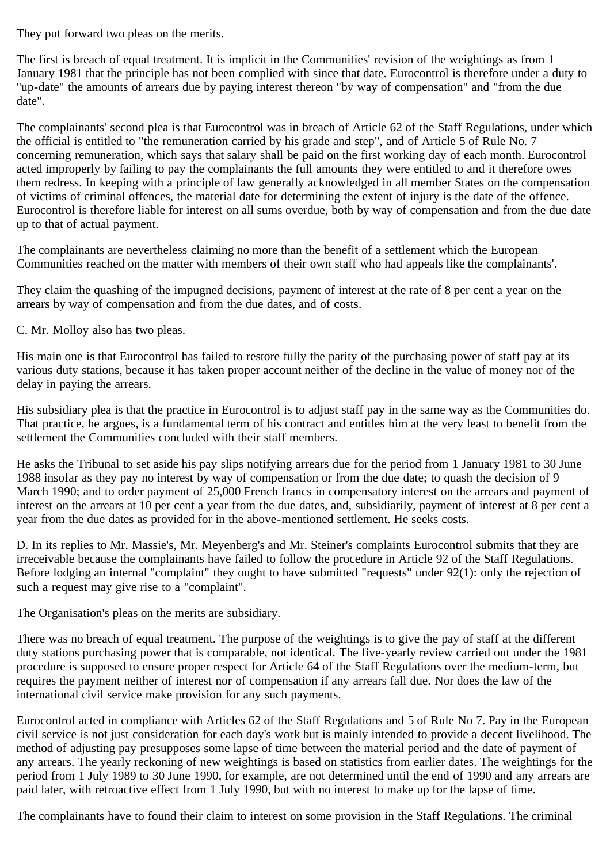They put forward two pleas on the merits.

The first is breach of equal treatment. It is implicit in the Communities' revision of the weightings as from 1 January 1981 that the principle has not been complied with since that date. Eurocontrol is therefore under a duty to "up-date" the amounts of arrears due by paying interest thereon "by way of compensation" and "from the due date".

The complainants' second plea is that Eurocontrol was in breach of Article 62 of the Staff Regulations, under which the official is entitled to "the remuneration carried by his grade and step", and of Article 5 of Rule No. 7 concerning remuneration, which says that salary shall be paid on the first working day of each month. Eurocontrol acted improperly by failing to pay the complainants the full amounts they were entitled to and it therefore owes them redress. In keeping with a principle of law generally acknowledged in all member States on the compensation of victims of criminal offences, the material date for determining the extent of injury is the date of the offence. Eurocontrol is therefore liable for interest on all sums overdue, both by way of compensation and from the due date up to that of actual payment.

The complainants are nevertheless claiming no more than the benefit of a settlement which the European Communities reached on the matter with members of their own staff who had appeals like the complainants'.

They claim the quashing of the impugned decisions, payment of interest at the rate of 8 per cent a year on the arrears by way of compensation and from the due dates, and of costs.

C. Mr. Molloy also has two pleas.

His main one is that Eurocontrol has failed to restore fully the parity of the purchasing power of staff pay at its various duty stations, because it has taken proper account neither of the decline in the value of money nor of the delay in paying the arrears.

His subsidiary plea is that the practice in Eurocontrol is to adjust staff pay in the same way as the Communities do. That practice, he argues, is a fundamental term of his contract and entitles him at the very least to benefit from the settlement the Communities concluded with their staff members.

He asks the Tribunal to set aside his pay slips notifying arrears due for the period from 1 January 1981 to 30 June 1988 insofar as they pay no interest by way of compensation or from the due date; to quash the decision of 9 March 1990; and to order payment of 25,000 French francs in compensatory interest on the arrears and payment of interest on the arrears at 10 per cent a year from the due dates, and, subsidiarily, payment of interest at 8 per cent a year from the due dates as provided for in the above-mentioned settlement. He seeks costs.

D. In its replies to Mr. Massie's, Mr. Meyenberg's and Mr. Steiner's complaints Eurocontrol submits that they are irreceivable because the complainants have failed to follow the procedure in Article 92 of the Staff Regulations. Before lodging an internal "complaint" they ought to have submitted "requests" under 92(1): only the rejection of such a request may give rise to a "complaint".

The Organisation's pleas on the merits are subsidiary.

There was no breach of equal treatment. The purpose of the weightings is to give the pay of staff at the different duty stations purchasing power that is comparable, not identical. The five-yearly review carried out under the 1981 procedure is supposed to ensure proper respect for Article 64 of the Staff Regulations over the medium-term, but requires the payment neither of interest nor of compensation if any arrears fall due. Nor does the law of the international civil service make provision for any such payments.

Eurocontrol acted in compliance with Articles 62 of the Staff Regulations and 5 of Rule No 7. Pay in the European civil service is not just consideration for each day's work but is mainly intended to provide a decent livelihood. The method of adjusting pay presupposes some lapse of time between the material period and the date of payment of any arrears. The yearly reckoning of new weightings is based on statistics from earlier dates. The weightings for the period from 1 July 1989 to 30 June 1990, for example, are not determined until the end of 1990 and any arrears are paid later, with retroactive effect from 1 July 1990, but with no interest to make up for the lapse of time.

The complainants have to found their claim to interest on some provision in the Staff Regulations. The criminal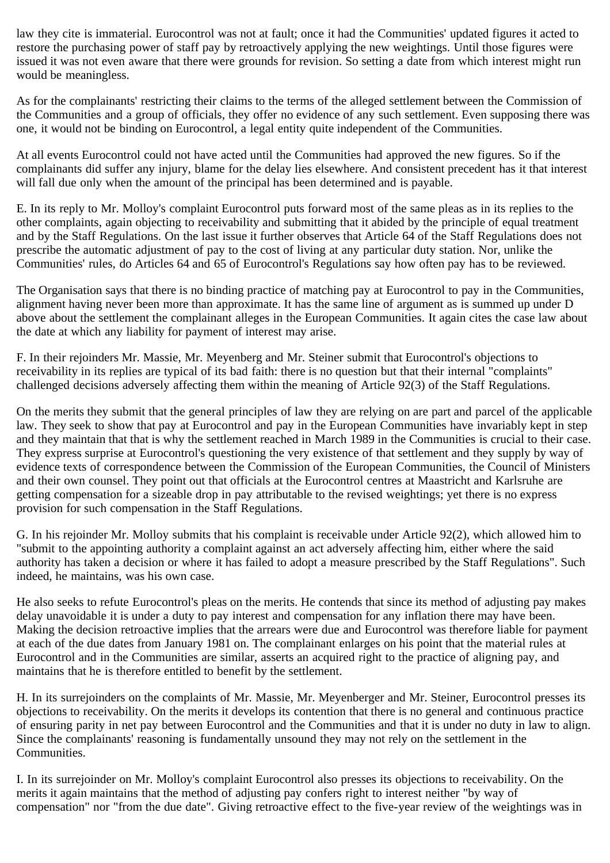law they cite is immaterial. Eurocontrol was not at fault; once it had the Communities' updated figures it acted to restore the purchasing power of staff pay by retroactively applying the new weightings. Until those figures were issued it was not even aware that there were grounds for revision. So setting a date from which interest might run would be meaningless.

As for the complainants' restricting their claims to the terms of the alleged settlement between the Commission of the Communities and a group of officials, they offer no evidence of any such settlement. Even supposing there was one, it would not be binding on Eurocontrol, a legal entity quite independent of the Communities.

At all events Eurocontrol could not have acted until the Communities had approved the new figures. So if the complainants did suffer any injury, blame for the delay lies elsewhere. And consistent precedent has it that interest will fall due only when the amount of the principal has been determined and is payable.

E. In its reply to Mr. Molloy's complaint Eurocontrol puts forward most of the same pleas as in its replies to the other complaints, again objecting to receivability and submitting that it abided by the principle of equal treatment and by the Staff Regulations. On the last issue it further observes that Article 64 of the Staff Regulations does not prescribe the automatic adjustment of pay to the cost of living at any particular duty station. Nor, unlike the Communities' rules, do Articles 64 and 65 of Eurocontrol's Regulations say how often pay has to be reviewed.

The Organisation says that there is no binding practice of matching pay at Eurocontrol to pay in the Communities, alignment having never been more than approximate. It has the same line of argument as is summed up under D above about the settlement the complainant alleges in the European Communities. It again cites the case law about the date at which any liability for payment of interest may arise.

F. In their rejoinders Mr. Massie, Mr. Meyenberg and Mr. Steiner submit that Eurocontrol's objections to receivability in its replies are typical of its bad faith: there is no question but that their internal "complaints" challenged decisions adversely affecting them within the meaning of Article 92(3) of the Staff Regulations.

On the merits they submit that the general principles of law they are relying on are part and parcel of the applicable law. They seek to show that pay at Eurocontrol and pay in the European Communities have invariably kept in step and they maintain that that is why the settlement reached in March 1989 in the Communities is crucial to their case. They express surprise at Eurocontrol's questioning the very existence of that settlement and they supply by way of evidence texts of correspondence between the Commission of the European Communities, the Council of Ministers and their own counsel. They point out that officials at the Eurocontrol centres at Maastricht and Karlsruhe are getting compensation for a sizeable drop in pay attributable to the revised weightings; yet there is no express provision for such compensation in the Staff Regulations.

G. In his rejoinder Mr. Molloy submits that his complaint is receivable under Article 92(2), which allowed him to "submit to the appointing authority a complaint against an act adversely affecting him, either where the said authority has taken a decision or where it has failed to adopt a measure prescribed by the Staff Regulations". Such indeed, he maintains, was his own case.

He also seeks to refute Eurocontrol's pleas on the merits. He contends that since its method of adjusting pay makes delay unavoidable it is under a duty to pay interest and compensation for any inflation there may have been. Making the decision retroactive implies that the arrears were due and Eurocontrol was therefore liable for payment at each of the due dates from January 1981 on. The complainant enlarges on his point that the material rules at Eurocontrol and in the Communities are similar, asserts an acquired right to the practice of aligning pay, and maintains that he is therefore entitled to benefit by the settlement.

H. In its surrejoinders on the complaints of Mr. Massie, Mr. Meyenberger and Mr. Steiner, Eurocontrol presses its objections to receivability. On the merits it develops its contention that there is no general and continuous practice of ensuring parity in net pay between Eurocontrol and the Communities and that it is under no duty in law to align. Since the complainants' reasoning is fundamentally unsound they may not rely on the settlement in the Communities.

I. In its surrejoinder on Mr. Molloy's complaint Eurocontrol also presses its objections to receivability. On the merits it again maintains that the method of adjusting pay confers right to interest neither "by way of compensation" nor "from the due date". Giving retroactive effect to the five-year review of the weightings was in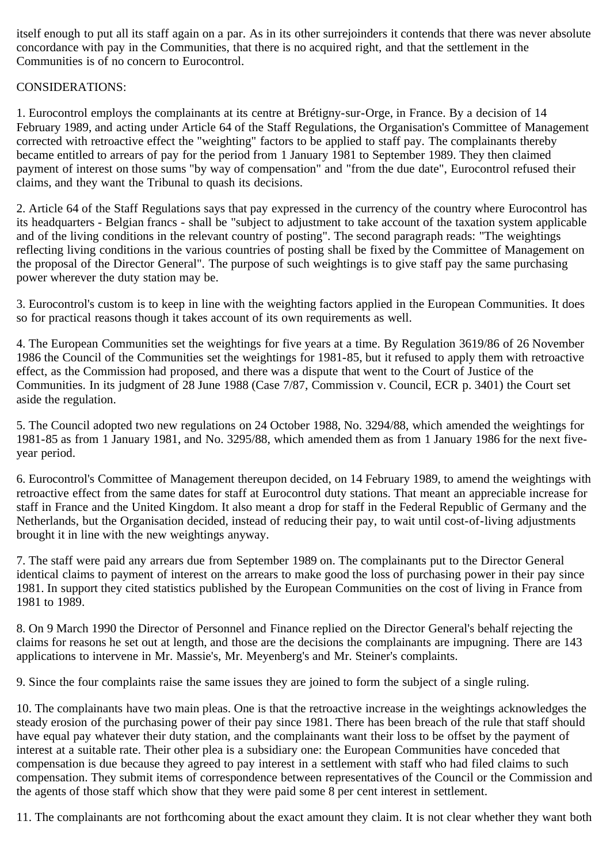itself enough to put all its staff again on a par. As in its other surrejoinders it contends that there was never absolute concordance with pay in the Communities, that there is no acquired right, and that the settlement in the Communities is of no concern to Eurocontrol.

# CONSIDERATIONS:

1. Eurocontrol employs the complainants at its centre at Brétigny-sur-Orge, in France. By a decision of 14 February 1989, and acting under Article 64 of the Staff Regulations, the Organisation's Committee of Management corrected with retroactive effect the "weighting" factors to be applied to staff pay. The complainants thereby became entitled to arrears of pay for the period from 1 January 1981 to September 1989. They then claimed payment of interest on those sums "by way of compensation" and "from the due date", Eurocontrol refused their claims, and they want the Tribunal to quash its decisions.

2. Article 64 of the Staff Regulations says that pay expressed in the currency of the country where Eurocontrol has its headquarters - Belgian francs - shall be "subject to adjustment to take account of the taxation system applicable and of the living conditions in the relevant country of posting". The second paragraph reads: "The weightings reflecting living conditions in the various countries of posting shall be fixed by the Committee of Management on the proposal of the Director General". The purpose of such weightings is to give staff pay the same purchasing power wherever the duty station may be.

3. Eurocontrol's custom is to keep in line with the weighting factors applied in the European Communities. It does so for practical reasons though it takes account of its own requirements as well.

4. The European Communities set the weightings for five years at a time. By Regulation 3619/86 of 26 November 1986 the Council of the Communities set the weightings for 1981-85, but it refused to apply them with retroactive effect, as the Commission had proposed, and there was a dispute that went to the Court of Justice of the Communities. In its judgment of 28 June 1988 (Case 7/87, Commission v. Council, ECR p. 3401) the Court set aside the regulation.

5. The Council adopted two new regulations on 24 October 1988, No. 3294/88, which amended the weightings for 1981-85 as from 1 January 1981, and No. 3295/88, which amended them as from 1 January 1986 for the next fiveyear period.

6. Eurocontrol's Committee of Management thereupon decided, on 14 February 1989, to amend the weightings with retroactive effect from the same dates for staff at Eurocontrol duty stations. That meant an appreciable increase for staff in France and the United Kingdom. It also meant a drop for staff in the Federal Republic of Germany and the Netherlands, but the Organisation decided, instead of reducing their pay, to wait until cost-of-living adjustments brought it in line with the new weightings anyway.

7. The staff were paid any arrears due from September 1989 on. The complainants put to the Director General identical claims to payment of interest on the arrears to make good the loss of purchasing power in their pay since 1981. In support they cited statistics published by the European Communities on the cost of living in France from 1981 to 1989.

8. On 9 March 1990 the Director of Personnel and Finance replied on the Director General's behalf rejecting the claims for reasons he set out at length, and those are the decisions the complainants are impugning. There are 143 applications to intervene in Mr. Massie's, Mr. Meyenberg's and Mr. Steiner's complaints.

9. Since the four complaints raise the same issues they are joined to form the subject of a single ruling.

10. The complainants have two main pleas. One is that the retroactive increase in the weightings acknowledges the steady erosion of the purchasing power of their pay since 1981. There has been breach of the rule that staff should have equal pay whatever their duty station, and the complainants want their loss to be offset by the payment of interest at a suitable rate. Their other plea is a subsidiary one: the European Communities have conceded that compensation is due because they agreed to pay interest in a settlement with staff who had filed claims to such compensation. They submit items of correspondence between representatives of the Council or the Commission and the agents of those staff which show that they were paid some 8 per cent interest in settlement.

11. The complainants are not forthcoming about the exact amount they claim. It is not clear whether they want both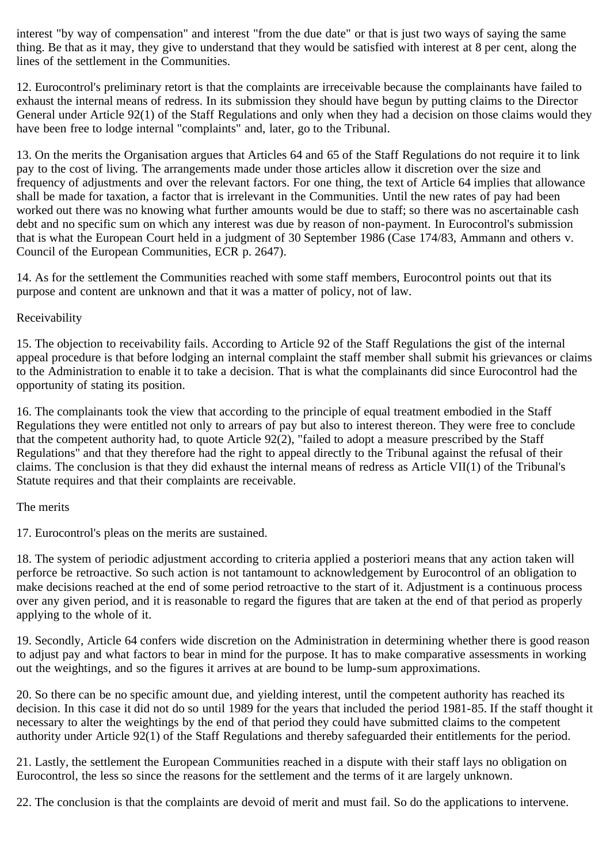interest "by way of compensation" and interest "from the due date" or that is just two ways of saying the same thing. Be that as it may, they give to understand that they would be satisfied with interest at 8 per cent, along the lines of the settlement in the Communities.

12. Eurocontrol's preliminary retort is that the complaints are irreceivable because the complainants have failed to exhaust the internal means of redress. In its submission they should have begun by putting claims to the Director General under Article 92(1) of the Staff Regulations and only when they had a decision on those claims would they have been free to lodge internal "complaints" and, later, go to the Tribunal.

13. On the merits the Organisation argues that Articles 64 and 65 of the Staff Regulations do not require it to link pay to the cost of living. The arrangements made under those articles allow it discretion over the size and frequency of adjustments and over the relevant factors. For one thing, the text of Article 64 implies that allowance shall be made for taxation, a factor that is irrelevant in the Communities. Until the new rates of pay had been worked out there was no knowing what further amounts would be due to staff; so there was no ascertainable cash debt and no specific sum on which any interest was due by reason of non-payment. In Eurocontrol's submission that is what the European Court held in a judgment of 30 September 1986 (Case 174/83, Ammann and others v. Council of the European Communities, ECR p. 2647).

14. As for the settlement the Communities reached with some staff members, Eurocontrol points out that its purpose and content are unknown and that it was a matter of policy, not of law.

## Receivability

15. The objection to receivability fails. According to Article 92 of the Staff Regulations the gist of the internal appeal procedure is that before lodging an internal complaint the staff member shall submit his grievances or claims to the Administration to enable it to take a decision. That is what the complainants did since Eurocontrol had the opportunity of stating its position.

16. The complainants took the view that according to the principle of equal treatment embodied in the Staff Regulations they were entitled not only to arrears of pay but also to interest thereon. They were free to conclude that the competent authority had, to quote Article 92(2), "failed to adopt a measure prescribed by the Staff Regulations" and that they therefore had the right to appeal directly to the Tribunal against the refusal of their claims. The conclusion is that they did exhaust the internal means of redress as Article VII(1) of the Tribunal's Statute requires and that their complaints are receivable.

### The merits

17. Eurocontrol's pleas on the merits are sustained.

18. The system of periodic adjustment according to criteria applied a posteriori means that any action taken will perforce be retroactive. So such action is not tantamount to acknowledgement by Eurocontrol of an obligation to make decisions reached at the end of some period retroactive to the start of it. Adjustment is a continuous process over any given period, and it is reasonable to regard the figures that are taken at the end of that period as properly applying to the whole of it.

19. Secondly, Article 64 confers wide discretion on the Administration in determining whether there is good reason to adjust pay and what factors to bear in mind for the purpose. It has to make comparative assessments in working out the weightings, and so the figures it arrives at are bound to be lump-sum approximations.

20. So there can be no specific amount due, and yielding interest, until the competent authority has reached its decision. In this case it did not do so until 1989 for the years that included the period 1981-85. If the staff thought it necessary to alter the weightings by the end of that period they could have submitted claims to the competent authority under Article 92(1) of the Staff Regulations and thereby safeguarded their entitlements for the period.

21. Lastly, the settlement the European Communities reached in a dispute with their staff lays no obligation on Eurocontrol, the less so since the reasons for the settlement and the terms of it are largely unknown.

22. The conclusion is that the complaints are devoid of merit and must fail. So do the applications to intervene.